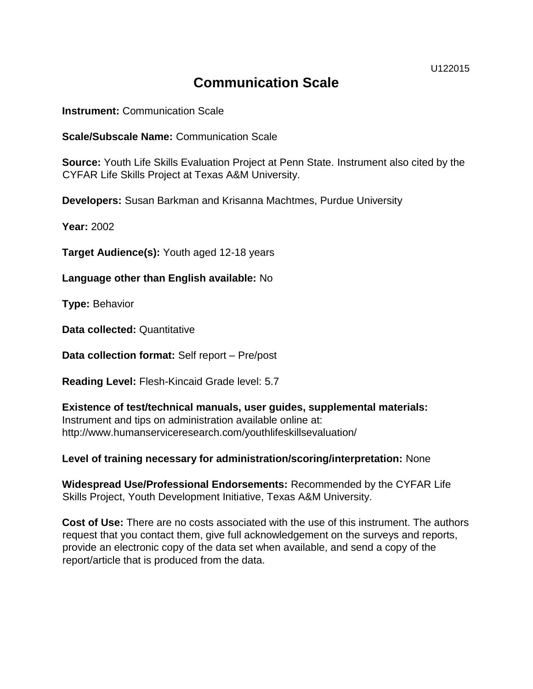U122015

# **Communication Scale**

**Instrument:** Communication Scale

**Scale/Subscale Name:** Communication Scale

**Source:** Youth Life Skills Evaluation Project at Penn State. Instrument also cited by the CYFAR Life Skills Project at Texas A&M University.

**Developers:** Susan Barkman and Krisanna Machtmes, Purdue University

**Year:** 2002

**Target Audience(s):** Youth aged 12-18 years

**Language other than English available:** No

**Type:** Behavior

**Data collected:** Quantitative

**Data collection format:** Self report – Pre/post

**Reading Level:** Flesh-Kincaid Grade level: 5.7

**Existence of test/technical manuals, user guides, supplemental materials:**  Instrument and tips on administration available online at: http://www.humanserviceresearch.com/youthlifeskillsevaluation/

**Level of training necessary for administration/scoring/interpretation:** None

**Widespread Use/Professional Endorsements:** Recommended by the CYFAR Life Skills Project, Youth Development Initiative, Texas A&M University.

**Cost of Use:** There are no costs associated with the use of this instrument. The authors request that you contact them, give full acknowledgement on the surveys and reports, provide an electronic copy of the data set when available, and send a copy of the report/article that is produced from the data.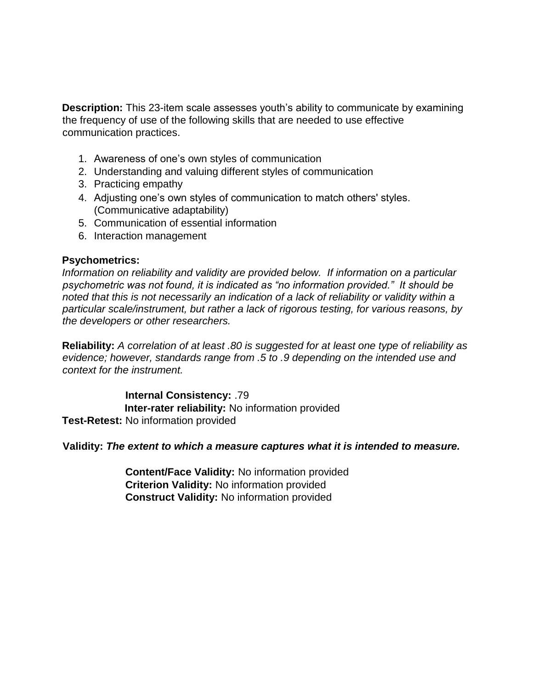**Description:** This 23-item scale assesses youth's ability to communicate by examining the frequency of use of the following skills that are needed to use effective communication practices.

- 1. Awareness of one's own styles of communication
- 2. Understanding and valuing different styles of communication
- 3. Practicing empathy
- 4. Adjusting one's own styles of communication to match others' styles. (Communicative adaptability)
- 5. Communication of essential information
- 6. Interaction management

#### **Psychometrics:**

*Information on reliability and validity are provided below. If information on a particular psychometric was not found, it is indicated as "no information provided." It should be noted that this is not necessarily an indication of a lack of reliability or validity within a particular scale/instrument, but rather a lack of rigorous testing, for various reasons, by the developers or other researchers.* 

**Reliability:** *A correlation of at least .80 is suggested for at least one type of reliability as evidence; however, standards range from .5 to .9 depending on the intended use and context for the instrument.* 

**Internal Consistency:** .79 **Inter-rater reliability:** No information provided **Test-Retest:** No information provided

#### **Validity:** *The extent to which a measure captures what it is intended to measure.*

**Content/Face Validity:** No information provided **Criterion Validity:** No information provided **Construct Validity:** No information provided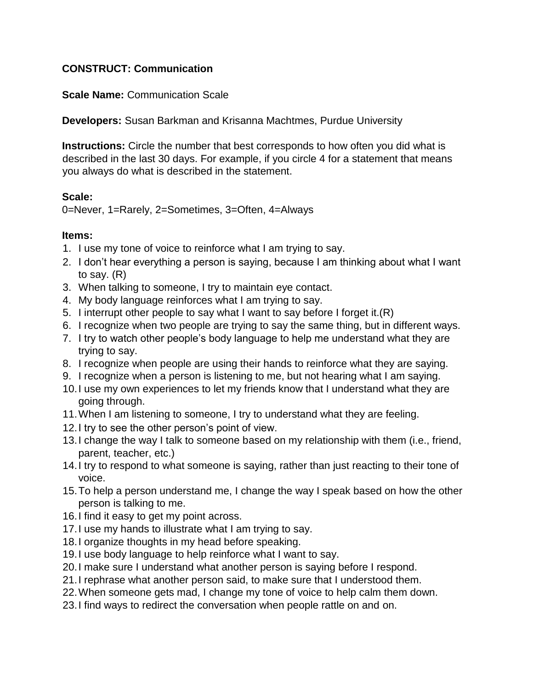# **CONSTRUCT: Communication**

**Scale Name:** Communication Scale

**Developers:** Susan Barkman and Krisanna Machtmes, Purdue University

**Instructions:** Circle the number that best corresponds to how often you did what is described in the last 30 days. For example, if you circle 4 for a statement that means you always do what is described in the statement.

## **Scale:**

0=Never, 1=Rarely, 2=Sometimes, 3=Often, 4=Always

## **Items:**

- 1. I use my tone of voice to reinforce what I am trying to say.
- 2. I don't hear everything a person is saying, because I am thinking about what I want to say. (R)
- 3. When talking to someone, I try to maintain eye contact.
- 4. My body language reinforces what I am trying to say.
- 5. I interrupt other people to say what I want to say before I forget it.(R)
- 6. I recognize when two people are trying to say the same thing, but in different ways.
- 7. I try to watch other people's body language to help me understand what they are trying to say.
- 8. I recognize when people are using their hands to reinforce what they are saying.
- 9. I recognize when a person is listening to me, but not hearing what I am saying.
- 10.I use my own experiences to let my friends know that I understand what they are going through.
- 11.When I am listening to someone, I try to understand what they are feeling.
- 12.I try to see the other person's point of view.
- 13.I change the way I talk to someone based on my relationship with them (i.e., friend, parent, teacher, etc.)
- 14.I try to respond to what someone is saying, rather than just reacting to their tone of voice.
- 15.To help a person understand me, I change the way I speak based on how the other person is talking to me.
- 16.I find it easy to get my point across.
- 17.I use my hands to illustrate what I am trying to say.
- 18.I organize thoughts in my head before speaking.
- 19.I use body language to help reinforce what I want to say.
- 20.I make sure I understand what another person is saying before I respond.
- 21.I rephrase what another person said, to make sure that I understood them.
- 22.When someone gets mad, I change my tone of voice to help calm them down.
- 23.I find ways to redirect the conversation when people rattle on and on.